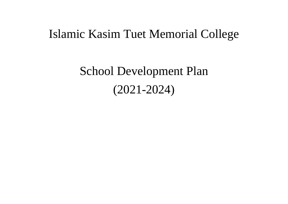## Islamic Kasim Tuet Memorial College

School Development Plan (2021-2024)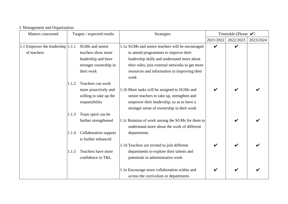|  | I. Management and Organization |  |  |  |
|--|--------------------------------|--|--|--|
|--|--------------------------------|--|--|--|

| Matters concerned                    |       | Targets / expected results | Strategies                                       | Timetable (Please $\checkmark$ ) |                    |           |
|--------------------------------------|-------|----------------------------|--------------------------------------------------|----------------------------------|--------------------|-----------|
|                                      |       |                            |                                                  | 2021/2022                        | 2022/2023          | 2023/2024 |
| 1.1 Empower the leadership $ 1.1.1 $ |       | SGMs and senior            | 1.1a SGMs and senior teachers will be encouraged | $\boldsymbol{\nu}$               | $\boldsymbol{\nu}$ |           |
| of teachers                          |       | teachers show more         | to attend programmes to improve their            |                                  |                    |           |
|                                      |       | leadership and have        | leadership skills and understand more about      |                                  |                    |           |
|                                      |       | stronger ownership in      | their roles; join external networks to get more  |                                  |                    |           |
|                                      |       | their work                 | resources and information in improving their     |                                  |                    |           |
|                                      |       |                            | work                                             |                                  |                    |           |
|                                      | 1.1.2 | Teachers can work          |                                                  |                                  |                    |           |
|                                      |       | more proactively and       | 1.1b More tasks will be assigned to SGMs and     |                                  |                    |           |
|                                      |       | willing to take up the     | senior teachers to take up, strengthen and       |                                  |                    |           |
|                                      |       | responsibility             | empower their leadership, so as to have a        |                                  |                    |           |
|                                      |       |                            | stronger sense of ownership in their work        |                                  |                    |           |
|                                      | 1.1.3 | Team spirit can be         |                                                  |                                  |                    |           |
|                                      |       | further strengthened       | 1.1c Rotation of work among the SGMs for them to |                                  | V                  |           |
|                                      |       |                            | understand more about the work of different      |                                  |                    |           |
|                                      | 1.1.4 | Collaboration support      | departments                                      |                                  |                    |           |
|                                      |       | is further enhanced        |                                                  |                                  |                    |           |
|                                      |       |                            | 1.1d Teachers are invited to join different      | $\boldsymbol{\mathcal{U}}$       |                    |           |
|                                      | 1.1.5 | Teachers have more         | departments to explore their talents and         |                                  |                    |           |
|                                      |       | confidence in T&L          | potentials in administrative work                |                                  |                    |           |
|                                      |       |                            |                                                  |                                  |                    |           |
|                                      |       |                            | 1.1e Encourage more collaboration within and     |                                  |                    |           |
|                                      |       |                            | across the curriculum or departments             |                                  |                    |           |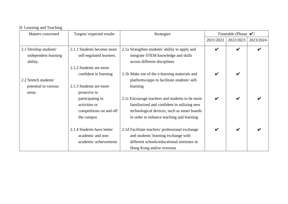| II. Learning and Teaching |                            |                                                 |                                  |                    |           |
|---------------------------|----------------------------|-------------------------------------------------|----------------------------------|--------------------|-----------|
| Matters concerned         | Targets/expected results   | <b>Strategies</b>                               | Timetable (Please $\checkmark$ ) |                    |           |
|                           |                            |                                                 | 2021/2022                        | 2022/2023          | 2023/2024 |
| 2.1 Develop students'     | 2.1.1 Students become more | 2.1a Strengthen students' ability to apply and  | V                                | $\boldsymbol{\nu}$ |           |
| independent learning      | self-regulated learners.   | integrate STEM knowledge and skills             |                                  |                    |           |
| ability.                  |                            | across different disciplines                    |                                  |                    |           |
|                           | 2.1.2 Students are more    |                                                 |                                  |                    |           |
|                           | confident in learning      | 2.1b Make use of the e-learning materials and   |                                  | V                  |           |
| 2.2 Stretch students'     |                            | platforms/apps to facilitate students' self-    |                                  |                    |           |
| potential in various      | 2.1.3 Students are more    | learning                                        |                                  |                    |           |
| areas.                    | proactive in               |                                                 |                                  |                    |           |
|                           | participating in           | 2.1c Encourage teachers and students to be more | V                                | $\checkmark$       |           |
|                           | activities or              | familiarized and confident in utilizing new     |                                  |                    |           |
|                           | competitions on and off    | technological devices, such as smart boards     |                                  |                    |           |
|                           | the campus                 | in order to enhance teaching and learning       |                                  |                    |           |
|                           |                            |                                                 |                                  |                    |           |
|                           | 2.1.4 Students have better | 2.1d Facilitate teachers' professional exchange |                                  | $\boldsymbol{\nu}$ |           |
|                           | academic and non-          | and students' learning exchange with            |                                  |                    |           |
|                           | academic achievements      | different schools/educational institutes in     |                                  |                    |           |
|                           |                            | Hong Kong and/or overseas                       |                                  |                    |           |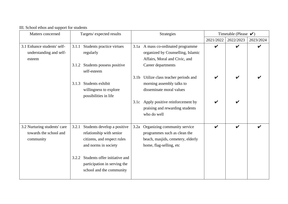| Matters concerned            | Targets/expected results               |                  | Strategies                         | Timetable (Please $\blacktriangleright$ ) |                    |           |
|------------------------------|----------------------------------------|------------------|------------------------------------|-------------------------------------------|--------------------|-----------|
|                              |                                        |                  |                                    | 2021/2022                                 | 2022/2023          | 2023/2024 |
| 3.1 Enhance students' self-  | Students practice virtues<br>3.1.1     |                  | 3.1a A mass co-ordinated programme | ✔                                         | $\boldsymbol{\nu}$ |           |
| understanding and self-      | regularly                              |                  | organized by Counselling, Islamic  |                                           |                    |           |
| esteem                       |                                        |                  | Affairs, Moral and Civic, and      |                                           |                    |           |
|                              | Students possess positive<br>3.1.2     |                  | Career departments                 |                                           |                    |           |
|                              | self-esteem                            |                  |                                    |                                           |                    |           |
|                              |                                        | 3.1 <sub>b</sub> | Utilize class teacher periods and  |                                           |                    |           |
|                              | Students exhibit<br>3.1.3              |                  | morning assembly talks to          |                                           |                    |           |
|                              | willingness to explore                 |                  | disseminate moral values           |                                           |                    |           |
|                              | possibilities in life                  |                  |                                    |                                           |                    |           |
|                              |                                        | 3.1c             | Apply positive reinforcement by    |                                           |                    |           |
|                              |                                        |                  | praising and rewarding students    |                                           |                    |           |
|                              |                                        |                  | who do well                        |                                           |                    |           |
|                              |                                        |                  |                                    |                                           |                    |           |
| 3.2 Nurturing students' care | 3.2.1<br>Students develop a positive   | 3.2a             | Organizing community service       | V                                         | $\boldsymbol{\nu}$ |           |
| towards the school and       | relationship with senior               |                  | programmes such as clean the       |                                           |                    |           |
| community                    | citizens, and respect rules            |                  | beach, masjids, cemetery, elderly  |                                           |                    |           |
|                              | and norms in society                   |                  | home, flag-selling, etc            |                                           |                    |           |
|                              |                                        |                  |                                    |                                           |                    |           |
|                              | Students offer initiative and<br>3.2.2 |                  |                                    |                                           |                    |           |
|                              | participation in serving the           |                  |                                    |                                           |                    |           |
|                              | school and the community               |                  |                                    |                                           |                    |           |
|                              |                                        |                  |                                    |                                           |                    |           |

III. School ethos and support for students